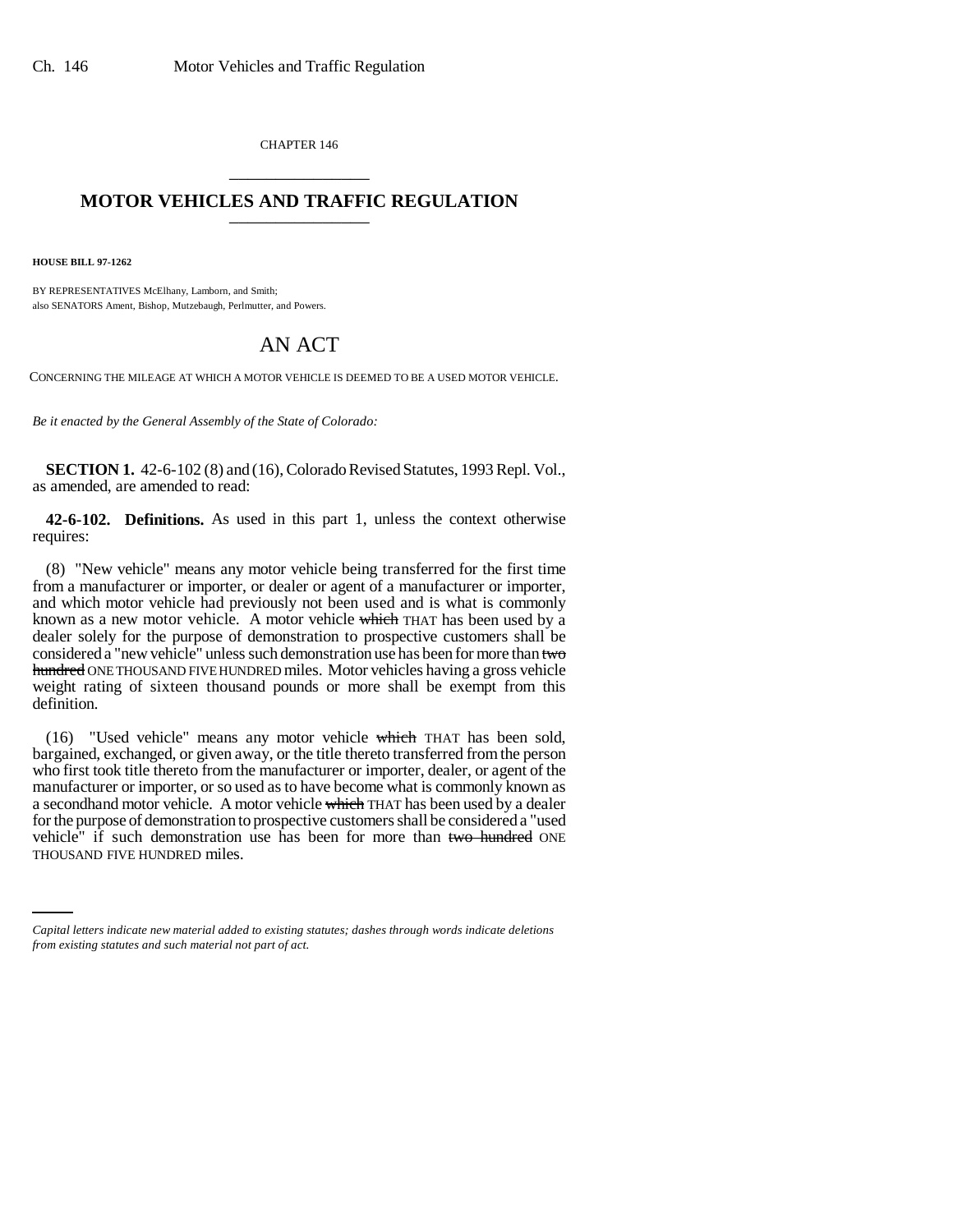CHAPTER 146 \_\_\_\_\_\_\_\_\_\_\_\_\_\_\_

## **MOTOR VEHICLES AND TRAFFIC REGULATION** \_\_\_\_\_\_\_\_\_\_\_\_\_\_\_

**HOUSE BILL 97-1262**

BY REPRESENTATIVES McElhany, Lamborn, and Smith; also SENATORS Ament, Bishop, Mutzebaugh, Perlmutter, and Powers.

## AN ACT

CONCERNING THE MILEAGE AT WHICH A MOTOR VEHICLE IS DEEMED TO BE A USED MOTOR VEHICLE.

*Be it enacted by the General Assembly of the State of Colorado:*

**SECTION 1.** 42-6-102 (8) and (16), Colorado Revised Statutes, 1993 Repl. Vol., as amended, are amended to read:

**42-6-102. Definitions.** As used in this part 1, unless the context otherwise requires:

(8) "New vehicle" means any motor vehicle being transferred for the first time from a manufacturer or importer, or dealer or agent of a manufacturer or importer, and which motor vehicle had previously not been used and is what is commonly known as a new motor vehicle. A motor vehicle which THAT has been used by a dealer solely for the purpose of demonstration to prospective customers shall be considered a "new vehicle" unless such demonstration use has been for more than two hundred ONE THOUSAND FIVE HUNDRED miles. Motor vehicles having a gross vehicle weight rating of sixteen thousand pounds or more shall be exempt from this definition.

vehicle" if such demonstration use has been for more than two hundred ONE (16) "Used vehicle" means any motor vehicle which THAT has been sold, bargained, exchanged, or given away, or the title thereto transferred from the person who first took title thereto from the manufacturer or importer, dealer, or agent of the manufacturer or importer, or so used as to have become what is commonly known as a secondhand motor vehicle. A motor vehicle which THAT has been used by a dealer for the purpose of demonstration to prospective customers shall be considered a "used THOUSAND FIVE HUNDRED miles.

*Capital letters indicate new material added to existing statutes; dashes through words indicate deletions from existing statutes and such material not part of act.*